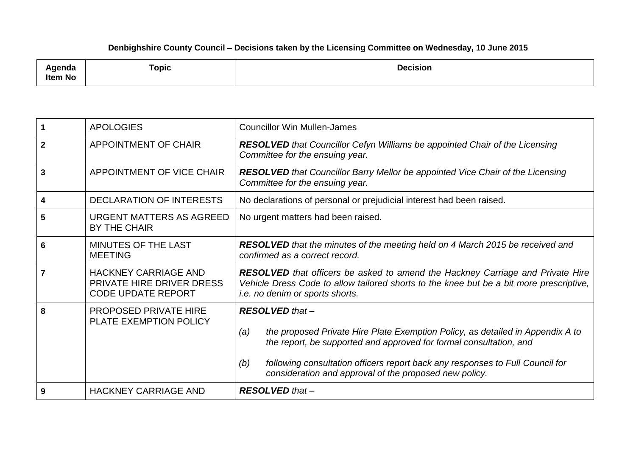## **Denbighshire County Council – Decisions taken by the Licensing Committee on Wednesday, 10 June 2015**

| ∖genda<br>Item No | <b>Topic</b> | <b>Decision</b><br>. |
|-------------------|--------------|----------------------|
|                   |              |                      |

|             | <b>APOLOGIES</b>                                                                      | <b>Councillor Win Mullen-James</b>                                                                                                                                                                                                                                                                                                      |
|-------------|---------------------------------------------------------------------------------------|-----------------------------------------------------------------------------------------------------------------------------------------------------------------------------------------------------------------------------------------------------------------------------------------------------------------------------------------|
| $\mathbf 2$ | APPOINTMENT OF CHAIR                                                                  | <b>RESOLVED</b> that Councillor Cefyn Williams be appointed Chair of the Licensing<br>Committee for the ensuing year.                                                                                                                                                                                                                   |
| 3           | APPOINTMENT OF VICE CHAIR                                                             | <b>RESOLVED</b> that Councillor Barry Mellor be appointed Vice Chair of the Licensing<br>Committee for the ensuing year.                                                                                                                                                                                                                |
| 4           | <b>DECLARATION OF INTERESTS</b>                                                       | No declarations of personal or prejudicial interest had been raised.                                                                                                                                                                                                                                                                    |
| 5           | <b>URGENT MATTERS AS AGREED</b><br><b>BY THE CHAIR</b>                                | No urgent matters had been raised.                                                                                                                                                                                                                                                                                                      |
| 6           | MINUTES OF THE LAST<br><b>MEETING</b>                                                 | <b>RESOLVED</b> that the minutes of the meeting held on 4 March 2015 be received and<br>confirmed as a correct record.                                                                                                                                                                                                                  |
|             | <b>HACKNEY CARRIAGE AND</b><br>PRIVATE HIRE DRIVER DRESS<br><b>CODE UPDATE REPORT</b> | <b>RESOLVED</b> that officers be asked to amend the Hackney Carriage and Private Hire<br>Vehicle Dress Code to allow tailored shorts to the knee but be a bit more prescriptive,<br>i.e. no denim or sports shorts.                                                                                                                     |
| 8           | <b>PROPOSED PRIVATE HIRE</b><br>PLATE EXEMPTION POLICY                                | <b>RESOLVED</b> that -<br>the proposed Private Hire Plate Exemption Policy, as detailed in Appendix A to<br>(a)<br>the report, be supported and approved for formal consultation, and<br>following consultation officers report back any responses to Full Council for<br>(b)<br>consideration and approval of the proposed new policy. |
| 9           | <b>HACKNEY CARRIAGE AND</b>                                                           | <b>RESOLVED</b> that -                                                                                                                                                                                                                                                                                                                  |